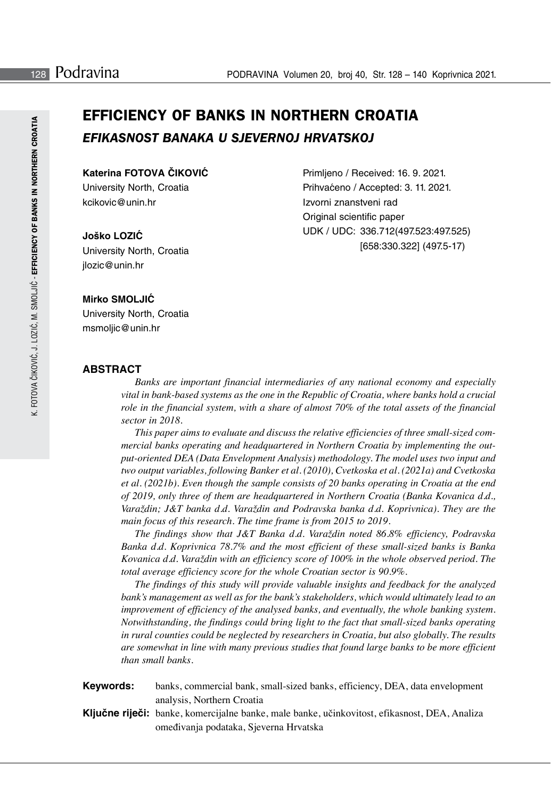# **EFFICIENCY OF BANKS IN NORTHERN CROATIA** *EFIKASNOST BANAKA U SJEVERNOJ HRVATSKOJ*

## **Katerina FOTOVA ČIKOVIĆ**

University North, Croatia kcikovic@unin.hr

#### **Joško LOZIĆ**

University North, Croatia jlozic@unin.hr

Primljeno / Received: 16. 9. 2021. Prihvaćeno / Accepted: 3. 11. 2021. Izvorni znanstveni rad Original scientific paper UDK / UDC: 336.712(497.523:497.525) [658:330.322] (497.5-17)

## **Mirko SMOLJIĆ**

University North, Croatia msmoljic@unin.hr

## **ABSTRACT**

*Banks are important financial intermediaries of any national economy and especially vital in bank-based systems as the one in the Republic of Croatia, where banks hold a crucial role in the financial system, with a share of almost 70% of the total assets of the financial sector in 2018.* 

*This paper aims to evaluate and discuss the relative efficiencies of three small-sized commercial banks operating and headquartered in Northern Croatia by implementing the output-oriented DEA (Data Envelopment Analysis) methodology. The model uses two input and two output variables, following Banker et al. (2010), Cvetkoska et al. (2021a) and Cvetkoska et al. (2021b). Even though the sample consists of 20 banks operating in Croatia at the end of 2019, only three of them are headquartered in Northern Croatia (Banka Kovanica d.d., Varaždin; J&T banka d.d. Varaždin and Podravska banka d.d. Koprivnica). They are the*  main focus of this research. The time frame is from 2015 to 2019.

*The findings show that J&T Banka d.d. Varaždin noted 86.8% efficiency, Podravska Banka d.d. Koprivnica 78.7% and the most efficient of these small-sized banks is Banka Kovanica d.d. Varaždin with an efficiency score of 100% in the whole observed period. The total average efficiency score for the whole Croatian sector is 90.9%.* 

*The findings of this study will provide valuable insights and feedback for the analyzed bank's management as well as for the bank's stakeholders, which would ultimately lead to an improvement of efficiency of the analysed banks, and eventually, the whole banking system. Notwithstanding, the findings could bring light to the fact that small-sized banks operating in rural counties could be neglected by researchers in Croatia, but also globally. The results are somewhat in line with many previous studies that found large banks to be more efficient than small banks.* 

**Keywords:** banks, commercial bank, small-sized banks, efficiency, DEA, data envelopment analysis, Northern Croatia

**Ključne riječi:** banke, komercijalne banke, male banke, učinkovitost, efikasnost, DEA, Analiza omeđivanja podataka, Sjeverna Hrvatska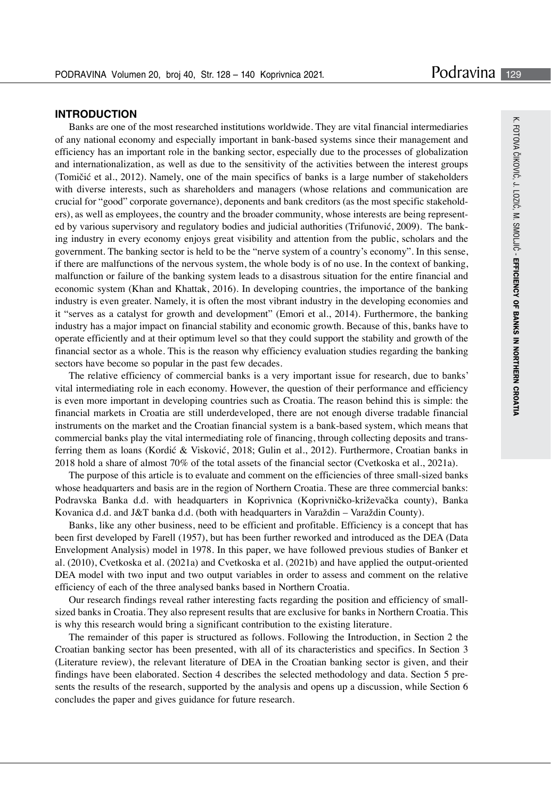#### **INTRODUCTION**

Banks are one of the most researched institutions worldwide. They are vital financial intermediaries of any national economy and especially important in bank-based systems since their management and efficiency has an important role in the banking sector, especially due to the processes of globalization and internationalization, as well as due to the sensitivity of the activities between the interest groups (Tomičić et al., 2012). Namely, one of the main specifics of banks is a large number of stakeholders with diverse interests, such as shareholders and managers (whose relations and communication are crucial for "good" corporate governance), deponents and bank creditors (as the most specific stakeholders), as well as employees, the country and the broader community, whose interests are being represented by various supervisory and regulatory bodies and judicial authorities (Trifunović, 2009). The banking industry in every economy enjoys great visibility and attention from the public, scholars and the government. The banking sector is held to be the "nerve system of a country's economy". In this sense, if there are malfunctions of the nervous system, the whole body is of no use. In the context of banking, malfunction or failure of the banking system leads to a disastrous situation for the entire financial and economic system (Khan and Khattak, 2016). In developing countries, the importance of the banking industry is even greater. Namely, it is often the most vibrant industry in the developing economies and it "serves as a catalyst for growth and development" (Emori et al., 2014). Furthermore, the banking industry has a major impact on financial stability and economic growth. Because of this, banks have to operate efficiently and at their optimum level so that they could support the stability and growth of the financial sector as a whole. This is the reason why efficiency evaluation studies regarding the banking sectors have become so popular in the past few decades.

The relative efficiency of commercial banks is a very important issue for research, due to banks' vital intermediating role in each economy. However, the question of their performance and efficiency is even more important in developing countries such as Croatia. The reason behind this is simple: the financial markets in Croatia are still underdeveloped, there are not enough diverse tradable financial instruments on the market and the Croatian financial system is a bank-based system, which means that commercial banks play the vital intermediating role of financing, through collecting deposits and transferring them as loans (Kordić & Visković, 2018; Gulin et al., 2012). Furthermore, Croatian banks in 2018 hold a share of almost 70% of the total assets of the financial sector (Cvetkoska et al., 2021a).

The purpose of this article is to evaluate and comment on the efficiencies of three small-sized banks whose headquarters and basis are in the region of Northern Croatia. These are three commercial banks: Podravska Banka d.d. with headquarters in Koprivnica (Koprivničko-križevačka county), Banka Kovanica d.d. and J&T banka d.d. (both with headquarters in Varaždin – Varaždin County).

Banks, like any other business, need to be efficient and profitable. Efficiency is a concept that has been first developed by Farell (1957), but has been further reworked and introduced as the DEA (Data Envelopment Analysis) model in 1978. In this paper, we have followed previous studies of Banker et al. (2010), Cvetkoska et al. (2021a) and Cvetkoska et al. (2021b) and have applied the output-oriented DEA model with two input and two output variables in order to assess and comment on the relative efficiency of each of the three analysed banks based in Northern Croatia.

Our research findings reveal rather interesting facts regarding the position and efficiency of smallsized banks in Croatia. They also represent results that are exclusive for banks in Northern Croatia. This is why this research would bring a significant contribution to the existing literature.

The remainder of this paper is structured as follows. Following the Introduction, in Section 2 the Croatian banking sector has been presented, with all of its characteristics and specifics. In Section 3 (Literature review), the relevant literature of DEA in the Croatian banking sector is given, and their findings have been elaborated. Section 4 describes the selected methodology and data. Section 5 presents the results of the research, supported by the analysis and opens up a discussion, while Section 6 concludes the paper and gives guidance for future research.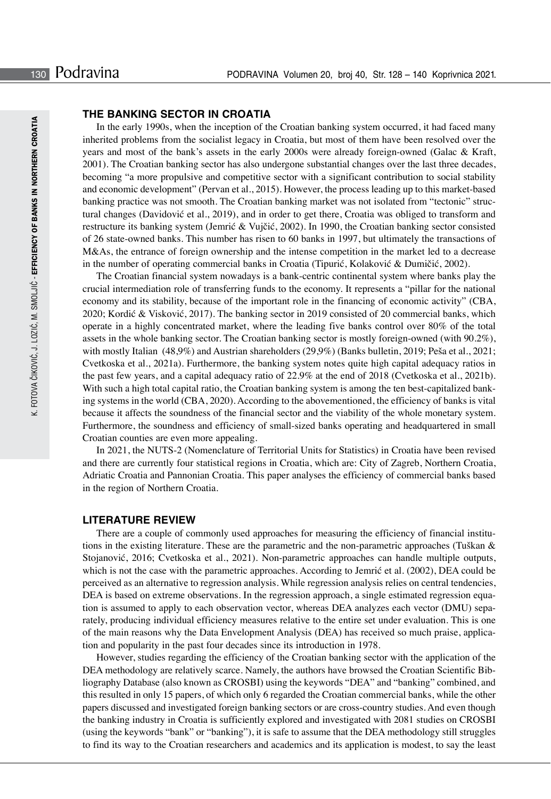## **THE BANKING SECTOR IN CROATIA**

In the early 1990s, when the inception of the Croatian banking system occurred, it had faced many inherited problems from the socialist legacy in Croatia, but most of them have been resolved over the years and most of the bank's assets in the early 2000s were already foreign-owned (Galac & Kraft, 2001). The Croatian banking sector has also undergone substantial changes over the last three decades, becoming "a more propulsive and competitive sector with a significant contribution to social stability and economic development" (Pervan et al., 2015). However, the process leading up to this market-based banking practice was not smooth. The Croatian banking market was not isolated from "tectonic" structural changes (Davidović et al., 2019), and in order to get there, Croatia was obliged to transform and restructure its banking system (Jemrić & Vujčić, 2002). In 1990, the Croatian banking sector consisted of 26 state-owned banks. This number has risen to 60 banks in 1997, but ultimately the transactions of M&As, the entrance of foreign ownership and the intense competition in the market led to a decrease in the number of operating commercial banks in Croatia (Tipurić, Kolaković & Dumičić, 2002).

The Croatian financial system nowadays is a bank-centric continental system where banks play the crucial intermediation role of transferring funds to the economy. It represents a "pillar for the national economy and its stability, because of the important role in the financing of economic activity" (CBA, 2020; Kordić & Visković, 2017). The banking sector in 2019 consisted of 20 commercial banks, which operate in a highly concentrated market, where the leading five banks control over 80% of the total assets in the whole banking sector. The Croatian banking sector is mostly foreign-owned (with 90.2%), with mostly Italian (48,9%) and Austrian shareholders (29,9%) (Banks bulletin, 2019; Peša et al., 2021; Cvetkoska et al., 2021a). Furthermore, the banking system notes quite high capital adequacy ratios in the past few years, and a capital adequacy ratio of 22.9% at the end of 2018 (Cvetkoska et al., 2021b). With such a high total capital ratio, the Croatian banking system is among the ten best-capitalized banking systems in the world (CBA, 2020). According to the abovementioned, the efficiency of banks is vital because it affects the soundness of the financial sector and the viability of the whole monetary system. Furthermore, the soundness and efficiency of small-sized banks operating and headquartered in small Croatian counties are even more appealing.

In 2021, the NUTS-2 (Nomenclature of Territorial Units for Statistics) in Croatia have been revised and there are currently four statistical regions in Croatia, which are: City of Zagreb, Northern Croatia, Adriatic Croatia and Pannonian Croatia. This paper analyses the efficiency of commercial banks based in the region of Northern Croatia.

#### **LITERATURE REVIEW**

There are a couple of commonly used approaches for measuring the efficiency of financial institutions in the existing literature. These are the parametric and the non-parametric approaches (Tuškan & Stojanović, 2016; Cvetkoska et al., 2021). Non-parametric approaches can handle multiple outputs, which is not the case with the parametric approaches. According to Jemrić et al. (2002), DEA could be perceived as an alternative to regression analysis. While regression analysis relies on central tendencies, DEA is based on extreme observations. In the regression approach, a single estimated regression equation is assumed to apply to each observation vector, whereas DEA analyzes each vector (DMU) separately, producing individual efficiency measures relative to the entire set under evaluation. This is one of the main reasons why the Data Envelopment Analysis (DEA) has received so much praise, application and popularity in the past four decades since its introduction in 1978.

However, studies regarding the efficiency of the Croatian banking sector with the application of the DEA methodology are relatively scarce. Namely, the authors have browsed the Croatian Scientific Bibliography Database (also known as CROSBI) using the keywords "DEA" and "banking" combined, and this resulted in only 15 papers, of which only 6 regarded the Croatian commercial banks, while the other papers discussed and investigated foreign banking sectors or are cross-country studies. And even though the banking industry in Croatia is sufficiently explored and investigated with 2081 studies on CROSBI (using the keywords "bank" or "banking"), it is safe to assume that the DEA methodology still struggles to find its way to the Croatian researchers and academics and its application is modest, to say the least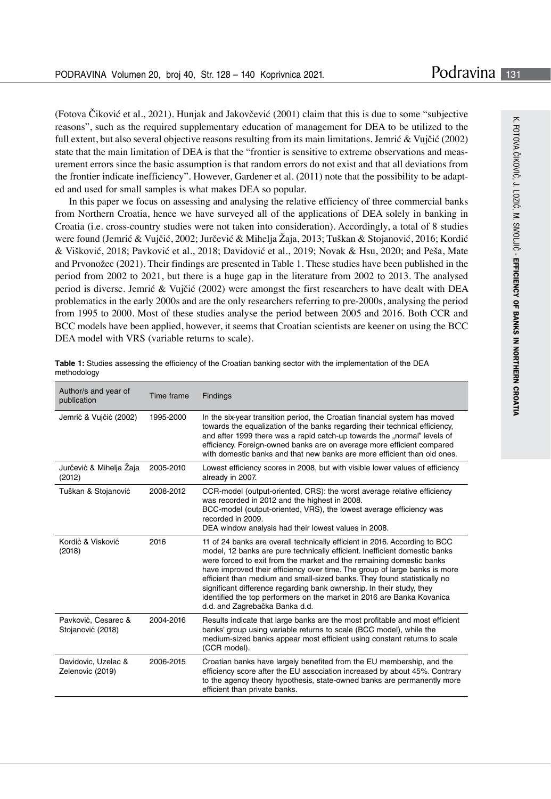(Fotova Čiković et al., 2021). Hunjak and Jakovčević (2001) claim that this is due to some "subjective reasons", such as the required supplementary education of management for DEA to be utilized to the full extent, but also several objective reasons resulting from its main limitations. Jemrić & Vujčić (2002) state that the main limitation of DEA is that the "frontier is sensitive to extreme observations and measurement errors since the basic assumption is that random errors do not exist and that all deviations from the frontier indicate inefficiency". However, Gardener et al. (2011) note that the possibility to be adapted and used for small samples is what makes DEA so popular.

In this paper we focus on assessing and analysing the relative efficiency of three commercial banks from Northern Croatia, hence we have surveyed all of the applications of DEA solely in banking in Croatia (i.e. cross-country studies were not taken into consideration). Accordingly, a total of 8 studies were found (Jemrić & Vujčić, 2002; Jurčević & Mihelja Žaja, 2013; Tuškan & Stojanović, 2016; Kordić & Višković, 2018; Pavković et al., 2018; Davidović et al., 2019; Novak & Hsu, 2020; and Peša, Mate and Prvonožec (2021). Their findings are presented in Table 1. These studies have been published in the period from 2002 to 2021, but there is a huge gap in the literature from 2002 to 2013. The analysed period is diverse. Jemrić & Vujčić (2002) were amongst the first researchers to have dealt with DEA problematics in the early 2000s and are the only researchers referring to pre-2000s, analysing the period from 1995 to 2000. Most of these studies analyse the period between 2005 and 2016. Both CCR and BCC models have been applied, however, it seems that Croatian scientists are keener on using the BCC DEA model with VRS (variable returns to scale).

| Author/s and year of<br>publication      | Time frame | <b>Findings</b>                                                                                                                                                                                                                                                                                                                                                                                                                                                                                                                                                                 |  |  |  |
|------------------------------------------|------------|---------------------------------------------------------------------------------------------------------------------------------------------------------------------------------------------------------------------------------------------------------------------------------------------------------------------------------------------------------------------------------------------------------------------------------------------------------------------------------------------------------------------------------------------------------------------------------|--|--|--|
| Jemrić & Vujčić (2002)                   | 1995-2000  | In the six-year transition period, the Croatian financial system has moved<br>towards the equalization of the banks regarding their technical efficiency,<br>and after 1999 there was a rapid catch-up towards the "normal" levels of<br>efficiency. Foreign-owned banks are on average more efficient compared<br>with domestic banks and that new banks are more efficient than old ones.                                                                                                                                                                                     |  |  |  |
| Jurčević & Mihelja Zaja<br>(2012)        | 2005-2010  | Lowest efficiency scores in 2008, but with visible lower values of efficiency<br>already in 2007.                                                                                                                                                                                                                                                                                                                                                                                                                                                                               |  |  |  |
| Tuškan & Stojanović                      | 2008-2012  | CCR-model (output-oriented, CRS): the worst average relative efficiency<br>was recorded in 2012 and the highest in 2008.<br>BCC-model (output-oriented, VRS), the lowest average efficiency was<br>recorded in 2009.<br>DEA window analysis had their lowest values in 2008.                                                                                                                                                                                                                                                                                                    |  |  |  |
| Kordić & Visković<br>(2018)              | 2016       | 11 of 24 banks are overall technically efficient in 2016. According to BCC<br>model, 12 banks are pure technically efficient. Inefficient domestic banks<br>were forced to exit from the market and the remaining domestic banks<br>have improved their efficiency over time. The group of large banks is more<br>efficient than medium and small-sized banks. They found statistically no<br>significant difference regarding bank ownership. In their study, they<br>identified the top performers on the market in 2016 are Banka Kovanica<br>d.d. and Zagrebačka Banka d.d. |  |  |  |
| Pavković, Cesarec &<br>Stojanović (2018) | 2004-2016  | Results indicate that large banks are the most profitable and most efficient<br>banks' group using variable returns to scale (BCC model), while the<br>medium-sized banks appear most efficient using constant returns to scale<br>(CCR model).                                                                                                                                                                                                                                                                                                                                 |  |  |  |
| Davidovic, Uzelac &<br>Zelenovic (2019)  | 2006-2015  | Croatian banks have largely benefited from the EU membership, and the<br>efficiency score after the EU association increased by about 45%. Contrary<br>to the agency theory hypothesis, state-owned banks are permanently more<br>efficient than private banks.                                                                                                                                                                                                                                                                                                                 |  |  |  |

**Table 1:** Studies assessing the efficiency of the Croatian banking sector with the implementation of the DEA methodology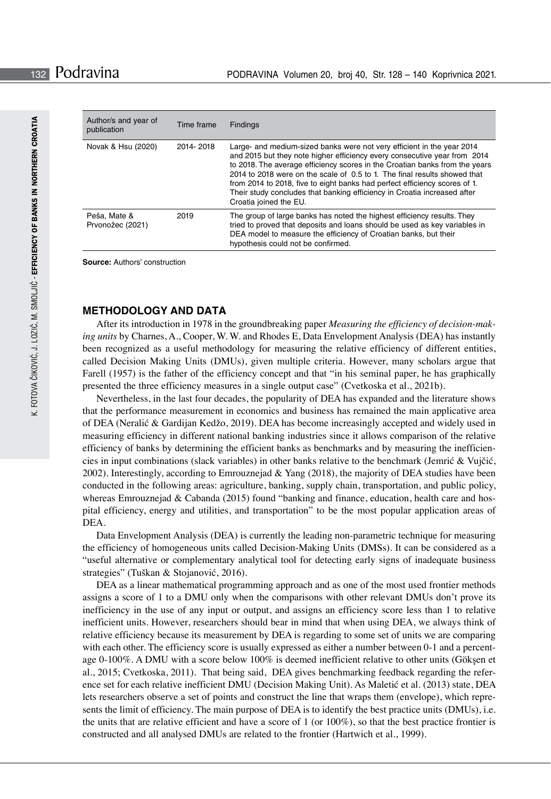| Author/s and year of<br>publication | Time frame | Findings                                                                                                                                                                                                                                                                                                                                                                                                                                                                                            |
|-------------------------------------|------------|-----------------------------------------------------------------------------------------------------------------------------------------------------------------------------------------------------------------------------------------------------------------------------------------------------------------------------------------------------------------------------------------------------------------------------------------------------------------------------------------------------|
| Novak & Hsu (2020)                  | 2014-2018  | Large- and medium-sized banks were not very efficient in the year 2014<br>and 2015 but they note higher efficiency every consecutive year from 2014<br>to 2018. The average efficiency scores in the Croatian banks from the years<br>2014 to 2018 were on the scale of 0.5 to 1. The final results showed that<br>from 2014 to 2018, five to eight banks had perfect efficiency scores of 1.<br>Their study concludes that banking efficiency in Croatia increased after<br>Croatia joined the EU. |
| Peša, Mate &<br>Prvonožec (2021)    | 2019       | The group of large banks has noted the highest efficiency results. They<br>tried to proved that deposits and loans should be used as key variables in<br>DEA model to measure the efficiency of Croatian banks, but their<br>hypothesis could not be confirmed.                                                                                                                                                                                                                                     |

**Source:** Authors' construction

#### **METHODOLOGY AND DATA**

After its introduction in 1978 in the groundbreaking paper *Measuring the efficiency of decision-making units* by Charnes, A., Cooper, W. W. and Rhodes E, Data Envelopment Analysis (DEA) has instantly been recognized as a useful methodology for measuring the relative efficiency of different entities, called Decision Making Units (DMUs), given multiple criteria. However, many scholars argue that Farell (1957) is the father of the efficiency concept and that "in his seminal paper, he has graphically presented the three efficiency measures in a single output case" (Cvetkoska et al., 2021b).

Nevertheless, in the last four decades, the popularity of DEA has expanded and the literature shows that the performance measurement in economics and business has remained the main applicative area of DEA (Neralić & Gardijan Kedžo, 2019). DEA has become increasingly accepted and widely used in measuring efficiency in different national banking industries since it allows comparison of the relative efficiency of banks by determining the efficient banks as benchmarks and by measuring the inefficiencies in input combinations (slack variables) in other banks relative to the benchmark (Jemrić & Vujčić, 2002). Interestingly, according to Emrouznejad & Yang (2018), the majority of DEA studies have been conducted in the following areas: agriculture, banking, supply chain, transportation, and public policy, whereas Emrouznejad & Cabanda (2015) found "banking and finance, education, health care and hospital efficiency, energy and utilities, and transportation" to be the most popular application areas of DEA.

Data Envelopment Analysis (DEA) is currently the leading non-parametric technique for measuring the efficiency of homogeneous units called Decision-Making Units (DMSs). It can be considered as a "useful alternative or complementary analytical tool for detecting early signs of inadequate business strategies" (Tuškan & Stojanović, 2016).

DEA as a linear mathematical programming approach and as one of the most used frontier methods assigns a score of 1 to a DMU only when the comparisons with other relevant DMUs don't prove its inefficiency in the use of any input or output, and assigns an efficiency score less than 1 to relative inefficient units. However, researchers should bear in mind that when using DEA, we always think of relative efficiency because its measurement by DEA is regarding to some set of units we are comparing with each other. The efficiency score is usually expressed as either a number between 0-1 and a percentage 0-100%. A DMU with a score below 100% is deemed inefficient relative to other units (Gökşen et al., 2015; Cvetkoska, 2011). That being said, DEA gives benchmarking feedback regarding the reference set for each relative inefficient DMU (Decision Making Unit). As Maletić et al. (2013) state, DEA lets researchers observe a set of points and construct the line that wraps them (envelope), which represents the limit of efficiency. The main purpose of DEA is to identify the best practice units (DMUs), i.e. the units that are relative efficient and have a score of 1 (or  $100\%)$ , so that the best practice frontier is constructed and all analysed DMUs are related to the frontier (Hartwich et al., 1999).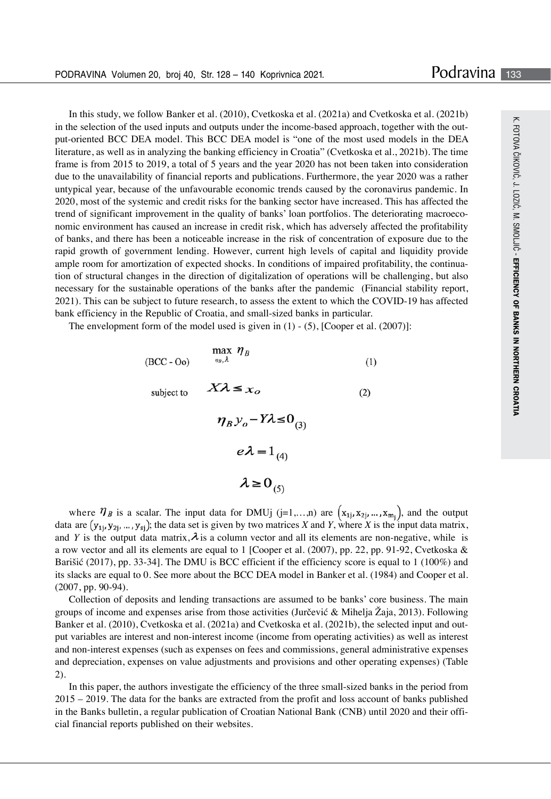In this study, we follow Banker et al. (2010), Cvetkoska et al. (2021a) and Cvetkoska et al. (2021b) in the selection of the used inputs and outputs under the income-based approach, together with the output-oriented BCC DEA model. This BCC DEA model is "one of the most used models in the DEA literature, as well as in analyzing the banking efficiency in Croatia" (Cvetkoska et al., 2021b). The time frame is from 2015 to 2019, a total of 5 years and the year 2020 has not been taken into consideration due to the unavailability of financial reports and publications. Furthermore, the year 2020 was a rather untypical year, because of the unfavourable economic trends caused by the coronavirus pandemic. In 2020, most of the systemic and credit risks for the banking sector have increased. This has affected the trend of significant improvement in the quality of banks' loan portfolios. The deteriorating macroeconomic environment has caused an increase in credit risk, which has adversely affected the profitability of banks, and there has been a noticeable increase in the risk of concentration of exposure due to the rapid growth of government lending. However, current high levels of capital and liquidity provide ample room for amortization of expected shocks. In conditions of impaired profitability, the continuation of structural changes in the direction of digitalization of operations will be challenging, but also necessary for the sustainable operations of the banks after the pandemic (Financial stability report, 2021). This can be subject to future research, to assess the extent to which the COVID-19 has affected bank efficiency in the Republic of Croatia, and small-sized banks in particular.

The envelopment form of the model used is given in  $(1) - (5)$ , [Cooper et al. (2007)]:

(BCC - Oo) 
$$
\max_{\eta_B, \lambda} \eta_B
$$
 (1)  
subject to 
$$
X\lambda \leq x_O
$$
 (2)  

$$
\eta_B y_O - Y\lambda \leq 0_{(3)}
$$

$$
e\lambda = 1_{(4)}
$$

$$
\lambda \geq 0_{(5)}
$$

where  $\eta_B$  is a scalar. The input data for DMUj (j=1,…,n) are  $(x_{1j}, x_{2j}, ..., x_{m_i})$ , and the output data are  $(y_{1i}, y_{2i}, ..., y_{si})$ ; the data set is given by two matrices *X* and *Y*, where *X* is the input data matrix, and *Y* is the output data matrix,  $\lambda$  is a column vector and all its elements are non-negative, while is a row vector and all its elements are equal to 1 [Cooper et al. (2007), pp. 22, pp. 91-92, Cvetkoska & Barišić (2017), pp. 33-34]. The DMU is BCC efficient if the efficiency score is equal to 1 (100%) and its slacks are equal to 0. See more about the BCC DEA model in Banker et al. (1984) and Cooper et al. (2007, pp. 90-94).

Collection of deposits and lending transactions are assumed to be banks' core business. The main groups of income and expenses arise from those activities (Jurčević & Mihelja Žaja, 2013). Following Banker et al. (2010), Cvetkoska et al. (2021a) and Cvetkoska et al. (2021b), the selected input and output variables are interest and non-interest income (income from operating activities) as well as interest and non-interest expenses (such as expenses on fees and commissions, general administrative expenses and depreciation, expenses on value adjustments and provisions and other operating expenses) (Table 2).

In this paper, the authors investigate the efficiency of the three small-sized banks in the period from 2015 – 2019. The data for the banks are extracted from the profit and loss account of banks published in the Banks bulletin, a regular publication of Croatian National Bank (CNB) until 2020 and their official financial reports published on their websites.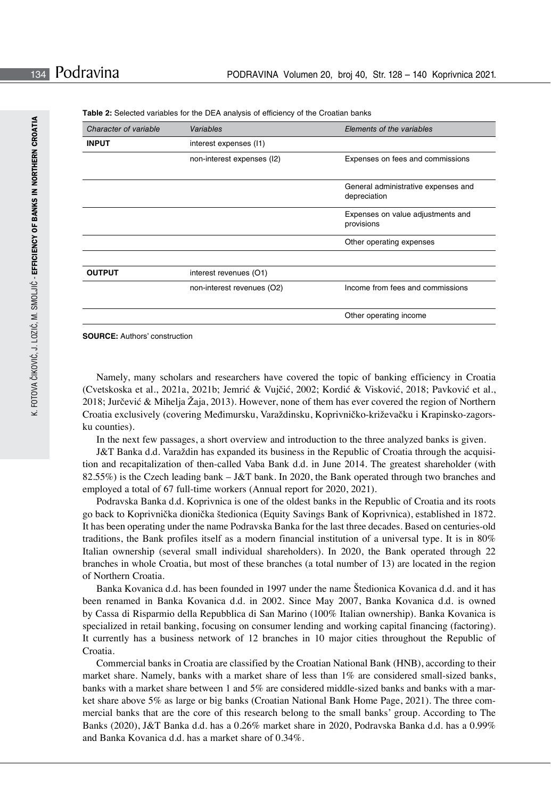| Character of variable | Variables                  | Elements of the variables                           |  |  |  |
|-----------------------|----------------------------|-----------------------------------------------------|--|--|--|
| <b>INPUT</b>          | interest expenses (11)     |                                                     |  |  |  |
|                       | non-interest expenses (I2) | Expenses on fees and commissions                    |  |  |  |
|                       |                            | General administrative expenses and<br>depreciation |  |  |  |
|                       |                            | Expenses on value adjustments and<br>provisions     |  |  |  |
|                       |                            | Other operating expenses                            |  |  |  |
| <b>OUTPUT</b>         | interest revenues (O1)     |                                                     |  |  |  |
|                       | non-interest revenues (O2) | Income from fees and commissions                    |  |  |  |
|                       |                            | Other operating income                              |  |  |  |

**Table 2:** Selected variables for the DEA analysis of efficiency of the Croatian banks

**SOURCE:** Authors' construction

Namely, many scholars and researchers have covered the topic of banking efficiency in Croatia (Cvetskoska et al., 2021a, 2021b; Jemrić & Vujčić, 2002; Kordić & Visković, 2018; Pavković et al., 2018; Jurčević & Mihelja Žaja, 2013). However, none of them has ever covered the region of Northern Croatia exclusively (covering Međimursku, Varaždinsku, Koprivničko-križevačku i Krapinsko-zagorsku counties).

In the next few passages, a short overview and introduction to the three analyzed banks is given.

J&T Banka d.d. Varaždin has expanded its business in the Republic of Croatia through the acquisition and recapitalization of then-called Vaba Bank d.d. in June 2014. The greatest shareholder (with 82.55%) is the Czech leading bank – J&T bank. In 2020, the Bank operated through two branches and employed a total of 67 full-time workers (Annual report for 2020, 2021).

Podravska Banka d.d. Koprivnica is one of the oldest banks in the Republic of Croatia and its roots go back to Koprivnička dionička štedionica (Equity Savings Bank of Koprivnica), established in 1872. It has been operating under the name Podravska Banka for the last three decades. Based on centuries-old traditions, the Bank profiles itself as a modern financial institution of a universal type. It is in 80% Italian ownership (several small individual shareholders). In 2020, the Bank operated through 22 branches in whole Croatia, but most of these branches (a total number of 13) are located in the region of Northern Croatia.

Banka Kovanica d.d. has been founded in 1997 under the name Štedionica Kovanica d.d. and it has been renamed in Banka Kovanica d.d. in 2002. Since May 2007, Banka Kovanica d.d. is owned by Cassa di Risparmio della Repubblica di San Marino (100% Italian ownership). Banka Kovanica is specialized in retail banking, focusing on consumer lending and working capital financing (factoring). It currently has a business network of 12 branches in 10 major cities throughout the Republic of Croatia.

Commercial banks in Croatia are classified by the Croatian National Bank (HNB), according to their market share. Namely, banks with a market share of less than 1% are considered small-sized banks, banks with a market share between 1 and 5% are considered middle-sized banks and banks with a market share above 5% as large or big banks (Croatian National Bank Home Page, 2021). The three commercial banks that are the core of this research belong to the small banks' group. According to The Banks (2020), J&T Banka d.d. has a 0.26% market share in 2020, Podravska Banka d.d. has a 0.99% and Banka Kovanica d.d. has a market share of 0.34%.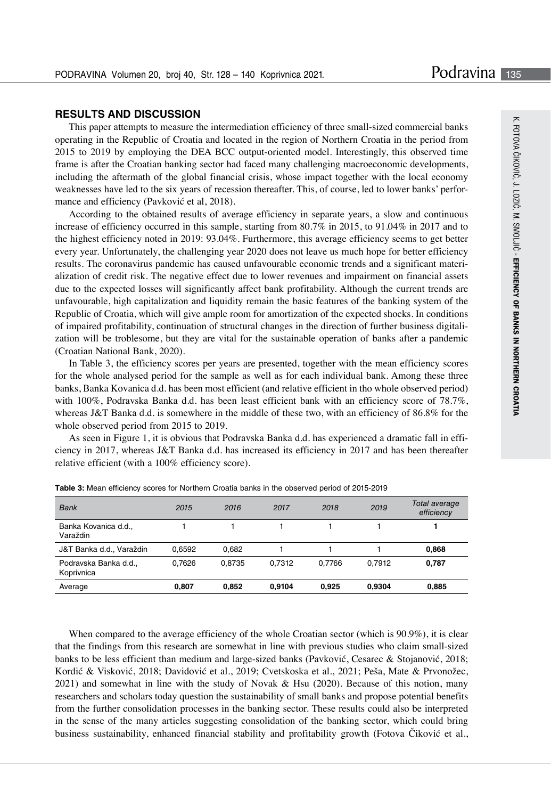### **RESULTS AND DISCUSSION**

This paper attempts to measure the intermediation efficiency of three small-sized commercial banks operating in the Republic of Croatia and located in the region of Northern Croatia in the period from 2015 to 2019 by employing the DEA BCC output-oriented model. Interestingly, this observed time frame is after the Croatian banking sector had faced many challenging macroeconomic developments, including the aftermath of the global financial crisis, whose impact together with the local economy weaknesses have led to the six years of recession thereafter. This, of course, led to lower banks' performance and efficiency (Pavković et al, 2018).

According to the obtained results of average efficiency in separate years, a slow and continuous increase of efficiency occurred in this sample, starting from 80.7% in 2015, to 91.04% in 2017 and to the highest efficiency noted in 2019: 93.04%. Furthermore, this average efficiency seems to get better every year. Unfortunately, the challenging year 2020 does not leave us much hope for better efficiency results. The coronavirus pandemic has caused unfavourable economic trends and a significant materialization of credit risk. The negative effect due to lower revenues and impairment on financial assets due to the expected losses will significantly affect bank profitability. Although the current trends are unfavourable, high capitalization and liquidity remain the basic features of the banking system of the Republic of Croatia, which will give ample room for amortization of the expected shocks. In conditions of impaired profitability, continuation of structural changes in the direction of further business digitalization will be troblesome, but they are vital for the sustainable operation of banks after a pandemic (Croatian National Bank, 2020).

In Table 3, the efficiency scores per years are presented, together with the mean efficiency scores for the whole analysed period for the sample as well as for each individual bank. Among these three banks, Banka Kovanica d.d. has been most efficient (and relative efficient in tho whole observed period) with 100%, Podravska Banka d.d. has been least efficient bank with an efficiency score of 78.7%, whereas J&T Banka d.d. is somewhere in the middle of these two, with an efficiency of 86.8% for the whole observed period from 2015 to 2019.

As seen in Figure 1, it is obvious that Podravska Banka d.d. has experienced a dramatic fall in efficiency in 2017, whereas J&T Banka d.d. has increased its efficiency in 2017 and has been thereafter relative efficient (with a 100% efficiency score).

| <b>Bank</b>                         | 2015   | 2016   | 2017   | 2018   | 2019   | Total average<br>efficiency |
|-------------------------------------|--------|--------|--------|--------|--------|-----------------------------|
| Banka Kovanica d.d.,<br>Varaždin    |        |        |        |        |        |                             |
| J&T Banka d.d., Varaždin            | 0.6592 | 0.682  |        |        |        | 0,868                       |
| Podravska Banka d.d.,<br>Koprivnica | 0.7626 | 0.8735 | 0.7312 | 0.7766 | 0.7912 | 0.787                       |
| Average                             | 0.807  | 0.852  | 0.9104 | 0.925  | 0.9304 | 0,885                       |

**Table 3:** Mean efficiency scores for Northern Croatia banks in the observed period of 2015-2019

When compared to the average efficiency of the whole Croatian sector (which is 90.9%), it is clear that the findings from this research are somewhat in line with previous studies who claim small-sized banks to be less efficient than medium and large-sized banks (Pavković, Cesarec & Stojanović, 2018; Kordić & Visković, 2018; Davidović et al., 2019; Cvetskoska et al., 2021; Peša, Mate & Prvonožec, 2021) and somewhat in line with the study of Novak & Hsu (2020). Because of this notion, many researchers and scholars today question the sustainability of small banks and propose potential benefits from the further consolidation processes in the banking sector. These results could also be interpreted in the sense of the many articles suggesting consolidation of the banking sector, which could bring business sustainability, enhanced financial stability and profitability growth (Fotova Čiković et al.,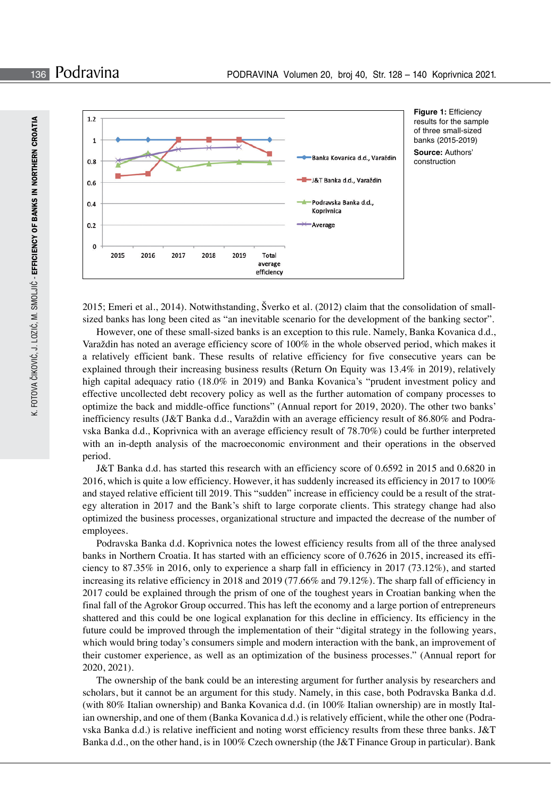

**Figure 1:** Efficiency results for the sample of three small-sized banks (2015-2019) **Source:** Authors' construction

2015; Emeri et al., 2014). Notwithstanding, Šverko et al. (2012) claim that the consolidation of smallsized banks has long been cited as "an inevitable scenario for the development of the banking sector".

However, one of these small-sized banks is an exception to this rule. Namely, Banka Kovanica d.d., Varaždin has noted an average efficiency score of 100% in the whole observed period, which makes it a relatively efficient bank. These results of relative efficiency for five consecutive years can be explained through their increasing business results (Return On Equity was 13.4% in 2019), relatively high capital adequacy ratio (18.0% in 2019) and Banka Kovanica's "prudent investment policy and effective uncollected debt recovery policy as well as the further automation of company processes to optimize the back and middle-office functions" (Annual report for 2019, 2020). The other two banks' inefficiency results (J&T Banka d.d., Varaždin with an average efficiency result of 86.80% and Podravska Banka d.d., Koprivnica with an average efficiency result of 78.70%) could be further interpreted with an in-depth analysis of the macroeconomic environment and their operations in the observed period.

J&T Banka d.d. has started this research with an efficiency score of 0.6592 in 2015 and 0.6820 in 2016, which is quite a low efficiency. However, it has suddenly increased its efficiency in 2017 to 100% and stayed relative efficient till 2019. This "sudden" increase in efficiency could be a result of the strategy alteration in 2017 and the Bank's shift to large corporate clients. This strategy change had also optimized the business processes, organizational structure and impacted the decrease of the number of employees.

Podravska Banka d.d. Koprivnica notes the lowest efficiency results from all of the three analysed banks in Northern Croatia. It has started with an efficiency score of 0.7626 in 2015, increased its efficiency to 87.35% in 2016, only to experience a sharp fall in efficiency in 2017 (73.12%), and started increasing its relative efficiency in 2018 and 2019 (77.66% and 79.12%). The sharp fall of efficiency in 2017 could be explained through the prism of one of the toughest years in Croatian banking when the final fall of the Agrokor Group occurred. This has left the economy and a large portion of entrepreneurs shattered and this could be one logical explanation for this decline in efficiency. Its efficiency in the future could be improved through the implementation of their "digital strategy in the following years, which would bring today's consumers simple and modern interaction with the bank, an improvement of their customer experience, as well as an optimization of the business processes." (Annual report for 2020, 2021).

The ownership of the bank could be an interesting argument for further analysis by researchers and scholars, but it cannot be an argument for this study. Namely, in this case, both Podravska Banka d.d. (with 80% Italian ownership) and Banka Kovanica d.d. (in 100% Italian ownership) are in mostly Italian ownership, and one of them (Banka Kovanica d.d.) is relatively efficient, while the other one (Podravska Banka d.d.) is relative inefficient and noting worst efficiency results from these three banks. J&T Banka d.d., on the other hand, is in 100% Czech ownership (the J&T Finance Group in particular). Bank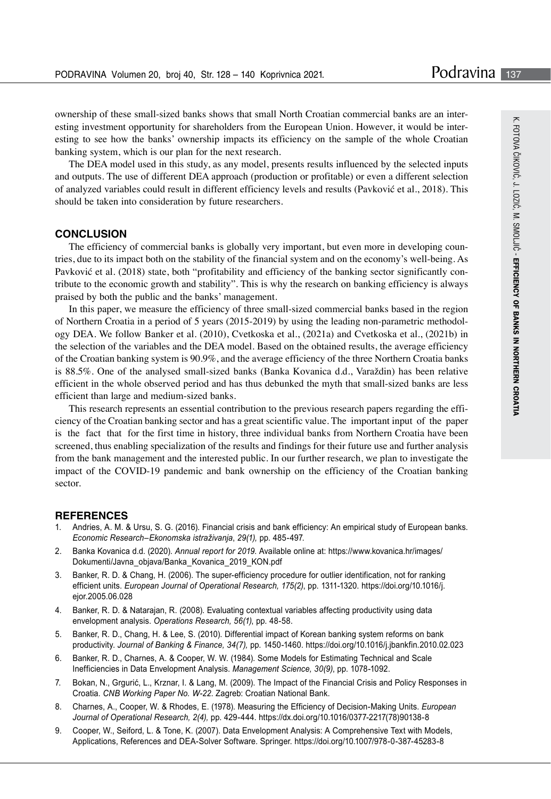ownership of these small-sized banks shows that small North Croatian commercial banks are an interesting investment opportunity for shareholders from the European Union. However, it would be interesting to see how the banks' ownership impacts its efficiency on the sample of the whole Croatian banking system, which is our plan for the next research.

The DEA model used in this study, as any model, presents results influenced by the selected inputs and outputs. The use of different DEA approach (production or profitable) or even a different selection of analyzed variables could result in different efficiency levels and results (Pavković et al., 2018). This should be taken into consideration by future researchers.

#### **CONCLUSION**

The efficiency of commercial banks is globally very important, but even more in developing countries, due to its impact both on the stability of the financial system and on the economy's well-being. As Pavković et al. (2018) state, both "profitability and efficiency of the banking sector significantly contribute to the economic growth and stability". This is why the research on banking efficiency is always praised by both the public and the banks' management.

In this paper, we measure the efficiency of three small-sized commercial banks based in the region of Northern Croatia in a period of 5 years (2015-2019) by using the leading non-parametric methodology DEA. We follow Banker et al. (2010), Cvetkoska et al., (2021a) and Cvetkoska et al., (2021b) in the selection of the variables and the DEA model. Based on the obtained results, the average efficiency of the Croatian banking system is 90.9%, and the average efficiency of the three Northern Croatia banks is 88.5%. One of the analysed small-sized banks (Banka Kovanica d.d., Varaždin) has been relative efficient in the whole observed period and has thus debunked the myth that small-sized banks are less efficient than large and medium-sized banks.

This research represents an essential contribution to the previous research papers regarding the efficiency of the Croatian banking sector and has a great scientific value. The important input of the paper is the fact that for the first time in history, three individual banks from Northern Croatia have been screened, thus enabling specialization of the results and findings for their future use and further analysis from the bank management and the interested public. In our further research, we plan to investigate the impact of the COVID-19 pandemic and bank ownership on the efficiency of the Croatian banking sector.

#### **REFERENCES**

- Andries, A. M. & Ursu, S. G. (2016). Financial crisis and bank efficiency: An empirical study of European banks. *Economic Research–Ekonomska istraživanja*, *29(1),* pp. 485-497.
- 2. Banka Kovanica d.d. (2020). *Annual report for 2019*. Available online at: https://www.kovanica.hr/images/ Dokumenti/Javna\_objava/Banka\_Kovanica\_2019\_KON.pdf
- 3. Banker, R. D. & Chang, H. (2006). The super-efficiency procedure for outlier identification, not for ranking efficient units. *European Journal of Operational Research, 175(2)*, pp. 1311-1320. https://doi.org/10.1016/j. ejor.2005.06.028
- 4. Banker, R. D. & Natarajan, R. (2008). Evaluating contextual variables affecting productivity using data envelopment analysis. *Operations Research, 56(1)*, pp. 48-58.
- 5. Banker, R. D., Chang, H. & Lee, S. (2010). Differential impact of Korean banking system reforms on bank productivity. *Journal of Banking & Finance, 34(7),* pp. 1450-1460. https://doi.org/10.1016/j.jbankfin.2010.02.023
- 6. Banker, R. D., Charnes, A. & Cooper, W. W. (1984). Some Models for Estimating Technical and Scale Inefficiencies in Data Envelopment Analysis. *Management Science, 30(9)*, pp. 1078-1092.
- 7. Bokan, N., Grgurić, L., Krznar, I. & Lang, M. (2009). The Impact of the Financial Crisis and Policy Responses in Croatia. *CNB Working Paper No. W-22*. Zagreb: Croatian National Bank.
- 8. Charnes, A., Cooper, W. & Rhodes, E. (1978). Measuring the Efficiency of Decision-Making Units. *European Journal of Operational Research, 2(4),* pp. 429-444. https://dx.doi.org/10.1016/0377-2217(78)90138-8
- 9. Cooper, W., Seiford, L. & Tone, K. (2007). Data Envelopment Analysis: A Comprehensive Text with Models, Applications, References and DEA-Solver Software. Springer. https://doi.org/10.1007/978-0-387-45283-8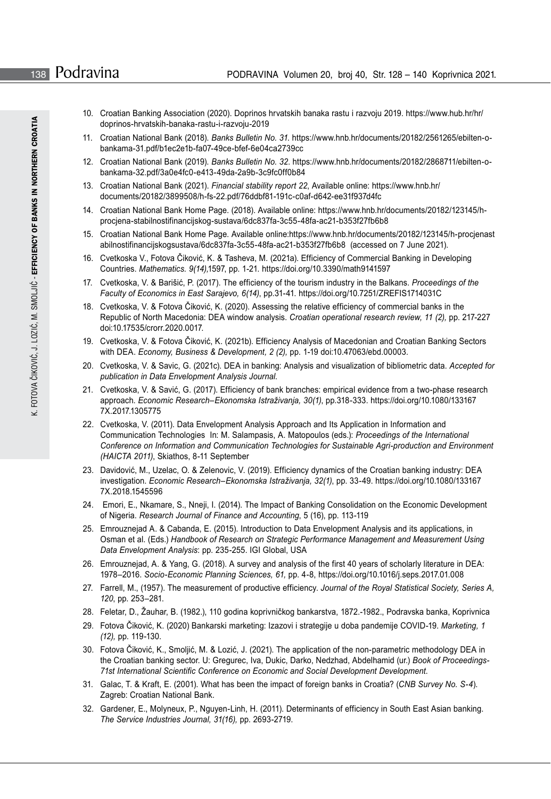- 10. Croatian Banking Association (2020). Doprinos hrvatskih banaka rastu i razvoju 2019. https://www.hub.hr/hr/ doprinos-hrvatskih-banaka-rastu-i-razvoju-2019
- 11. Croatian National Bank (2018). *Banks Bulletin No. 31*. https://www.hnb.hr/documents/20182/2561265/ebilten-obankama-31.pdf/b1ec2e1b-fa07-49ce-bfef-6e04ca2739cc
- 12. Croatian National Bank (2019). *Banks Bulletin No. 32*. https://www.hnb.hr/documents/20182/2868711/ebilten-obankama-32.pdf/3a0e4fc0-e413-49da-2a9b-3c9fc0ff0b84
- 13. Croatian National Bank (2021). *Financial stability report 22*, Available online: https://www.hnb.hr/ documents/20182/3899508/h-fs-22.pdf/76ddbf81-191c-c0af-d642-ee31f937d4fc
- 14. Croatian National Bank Home Page. (2018). Available online: https://www.hnb.hr/documents/20182/123145/hprocjena-stabilnostifinancijskog-sustava/6dc837fa-3c55-48fa-ac21-b353f27fb6b8
- 15. Croatian National Bank Home Page. Available online:https://www.hnb.hr/documents/20182/123145/h-procjenast abilnostifinancijskogsustava/6dc837fa-3c55-48fa-ac21-b353f27fb6b8 (accessed on 7 June 2021).
- 16. Cvetkoska V., Fotova Čiković, K. & Tasheva, M. (2021a). Efficiency of Commercial Banking in Developing Countries. *Mathematics. 9(14),*1597, pp. 1-21. https://doi.org/10.3390/math9141597
- 17. Cvetkoska, V. & Barišić, P. (2017). The efficiency of the tourism industry in the Balkans. *Proceedings of the Faculty of Economics in East Sarajevo, 6(14)*, pp.31-41. https://doi.org/10.7251/ZREFIS1714031C
- 18. Cvetkoska, V. & Fotova Čiković, K. (2020). Assessing the relative efficiency of commercial banks in the Republic of North Macedonia: DEA window analysis. *Croatian operational research review, 11 (2),* pp. 217-227 doi:10.17535/crorr.2020.0017.
- 19. Cvetkoska, V. & Fotova Čiković, K. (2021b). Efficiency Analysis of Macedonian and Croatian Banking Sectors with DEA. *Economy, Business & Development, 2 (2),* pp. 1-19 doi:10.47063/ebd.00003.
- 20. Cvetkoska, V. & Savic, G. (2021c). DEA in banking: Analysis and visualization of bibliometric data. *Accepted for publication in Data Envelopment Analysis Journal*.
- 21. Cvetkoska, V. & Savić, G. (2017). Efficiency of bank branches: empirical evidence from a two-phase research approach. *Economic Research–Ekonomska Istraživanja, 30(1)*, pp.318-333. https://doi.org/10.1080/133167 7X.2017.1305775
- 22. Cvetkoska, V. (2011). Data Envelopment Analysis Approach and Its Application in Information and Communication Technologies In: M. Salampasis, A. Matopoulos (eds.): *Proceedings of the International Conference on Information and Communication Technologies for Sustainable Agri-production and Environment (HAICTA 2011)*, Skiathos, 8-11 September
- 23. Davidović, M., Uzelac, O. & Zelenovic, V. (2019). Efficiency dynamics of the Croatian banking industry: DEA investigation. *Economic Research–Ekonomska Istraživanja, 32(1)*, pp. 33-49. https://doi.org/10.1080/133167 7X.2018.1545596
- 24. Emori, E., Nkamare, S., Nneji, I. (2014). The Impact of Banking Consolidation on the Economic Development of Nigeria. *Research Journal of Finance and Accounting*, 5 (16), pp. 113-119
- 25. Emrouznejad A. & Cabanda, E. (2015). Introduction to Data Envelopment Analysis and its applications, in Osman et al. (Eds.) *Handbook of Research on Strategic Performance Management and Measurement Using Data Envelopment Analysis*: pp. 235-255. IGI Global, USA
- 26. Emrouznejad, A. & Yang, G. (2018). A survey and analysis of the first 40 years of scholarly literature in DEA: 1978–2016. *Socio-Economic Planning Sciences, 61,* pp. 4-8, https://doi.org/10.1016/j.seps.2017.01.008
- 27. Farrell, M., (1957). The measurement of productive efficiency. *Journal of the Royal Statistical Society*. Series A, *120*, pp. 253–281.
- 28. Feletar, D., Žauhar, B. (1982.), 110 godina koprivničkog bankarstva, 1872.-1982., Podravska banka, Koprivnica
- 29. Fotova Čiković, K. (2020) Bankarski marketing: Izazovi i strategije u doba pandemije COVID-19. *Marketing, 1 (12),* pp. 119-130.
- 30. Fotova Čiković, K., Smoljić, M. & Lozić, J. (2021). The application of the non-parametric methodology DEA in the Croatian banking sector. U: Gregurec, Iva, Dukic, Darko, Nedzhad, Abdelhamid (ur.) *Book of Proceedings-71st International Scientific Conference on Economic and Social Development Development*.
- 31. Galac, T. & Kraft, E. (2001). What has been the impact of foreign banks in Croatia? (*CNB Survey No. S-4*). Zagreb: Croatian National Bank.
- 32. Gardener, E., Molyneux, P., Nguyen-Linh, H. (2011). Determinants of efficiency in South East Asian banking. *The Service Industries Journal, 31(16),* pp. 2693-2719.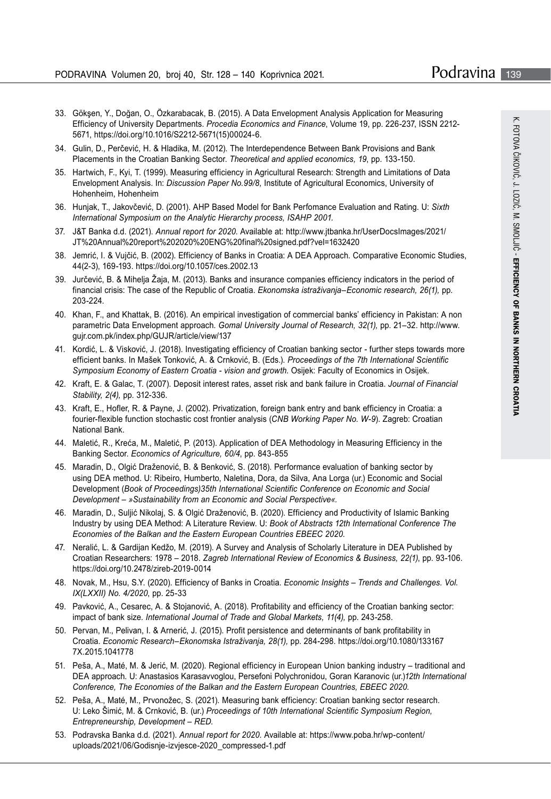- 33. Gökşen, Y., Doğan, O., Özkarabacak, B. (2015). A Data Envelopment Analysis Application for Measuring Efficiency of University Departments. *Procedia Economics and Finance*, Volume 19, pp. 226-237, ISSN 2212- 5671, https://doi.org/10.1016/S2212-5671(15)00024-6.
- 34. Gulin, D., Perčević, H. & Hladika, M. (2012). The Interdependence Between Bank Provisions and Bank Placements in the Croatian Banking Sector. *Theoretical and applied economics, 19*, pp. 133-150.
- 35. Hartwich, F., Kyi, T. (1999). Measuring efficiency in Agricultural Research: Strength and Limitations of Data Envelopment Analysis. In: *Discussion Paper No.99/8,* Institute of Agricultural Economics, University of Hohenheim, Hohenheim
- 36. Hunjak, T., Jakovčević, D. (2001). AHP Based Model for Bank Perfomance Evaluation and Rating. U: *Sixth International Symposium on the Analytic Hierarchy process, ISAHP 2001.*
- 37. J&T Banka d.d. (2021). *Annual report for 2020*. Available at: http://www.jtbanka.hr/UserDocsImages/2021/ JT%20Annual%20report%202020%20ENG%20final%20signed.pdf?vel=1632420
- 38. Jemrić, I. & Vujčić, B. (2002). Efficiency of Banks in Croatia: A DEA Approach. Comparative Economic Studies, 44(2-3), 169-193. https://doi.org/10.1057/ces.2002.13
- 39. Jurčević, B. & Mihelja Žaja, M. (2013). Banks and insurance companies efficiency indicators in the period of financial crisis: The case of the Republic of Croatia. *Ekonomska istraživanja–Economic research, 26(1),* pp. 203-224.
- 40. Khan, F., and Khattak, B. (2016). An empirical investigation of commercial banks' efficiency in Pakistan: A non parametric Data Envelopment approach. *Gomal University Journal of Research, 32(1),* pp. 21–32. http://www. gujr.com.pk/index.php/GUJR/article/view/137
- 41. Kordić, L. & Visković, J. (2018). Investigating efficiency of Croatian banking sector further steps towards more efficient banks. In Mašek Tonković, A. & Crnković, B. (Eds.). *Proceedings of the 7th International Scientific Symposium Economy of Eastern Croatia - vision and growth*. Osijek: Faculty of Economics in Osijek.
- 42. Kraft, E. & Galac, T. (2007). Deposit interest rates, asset risk and bank failure in Croatia. *Journal of Financial Stability, 2(4),* pp. 312-336.
- 43. Kraft, E., Hofler, R. & Payne, J. (2002). Privatization, foreign bank entry and bank efficiency in Croatia: a fourier-flexible function stochastic cost frontier analysis (*CNB Working Paper No. W-9*). Zagreb: Croatian National Bank.
- 44. Maletić, R., Kreća, M., Maletić, P. (2013). Application of DEA Methodology in Measuring Efficiency in the Banking Sector. *Economics of Agriculture, 60/4*, pp. 843-855
- 45. Maradin, D., Olgić Draženović, B. & Benković, S. (2018). Performance evaluation of banking sector by using DEA method. U: Ribeiro, Humberto, Naletina, Dora, da Silva, Ana Lorga (ur.) Economic and Social Development (*Book of Proceedings)35th International Scientific Conference on Economic and Social Development – »Sustainability from an Economic and Social Perspective«.*
- 46. Maradin, D., Suljić Nikolaj, S. & Olgić Draženović, B. (2020). Efficiency and Productivity of Islamic Banking Industry by using DEA Method: A Literature Review. U: *Book of Abstracts 12th International Conference The Economies of the Balkan and the Eastern European Countries EBEEC 2020*.
- 47. Neralić, L. & Gardijan Kedžo, M. (2019). A Survey and Analysis of Scholarly Literature in DEA Published by Croatian Researchers: 1978 – 2018. *Zagreb International Review of Economics & Business, 22(1)*, pp. 93-106. https://doi.org/10.2478/zireb-2019-0014
- 48. Novak, M., Hsu, S.Y. (2020). Efficiency of Banks in Croatia. *Economic Insights Trends and Challenges. Vol. IX(LXXII) No. 4/2020*, pp. 25-33
- 49. Pavković, A., Cesarec, A. & Stojanović, A. (2018). Profitability and efficiency of the Croatian banking sector: impact of bank size. *International Journal of Trade and Global Markets, 11(4),* pp. 243-258.
- 50. Pervan, M., Pelivan, I. & Arnerić, J. (2015). Profit persistence and determinants of bank profitability in Croatia. *Economic Research–Ekonomska Istraživanja, 28(1),* pp. 284-298. https://doi.org/10.1080/133167 7X.2015.1041778
- 51. Peša, A., Maté, M. & Jerić, M. (2020). Regional efficiency in European Union banking industry traditional and DEA approach. U: Anastasios Karasavvoglou, Persefoni Polychronidou, Goran Karanovic (ur.)*12th International Conference, The Economies of the Balkan and the Eastern European Countries, EBEEC 2020*.
- 52. Peša, A., Maté, M., Prvonožec, S. (2021). Measuring bank efficiency: Croatian banking sector research. U: Leko Šimić, M. & Crnković, B. (ur.) *Proceedings of 10th International Scientific Symposium Region, Entrepreneurship, Development – RED.*
- 53. Podravska Banka d.d. (2021). *Annual report for 2020.* Available at: https://www.poba.hr/wp-content/ uploads/2021/06/Godisnje-izvjesce-2020\_compressed-1.pdf